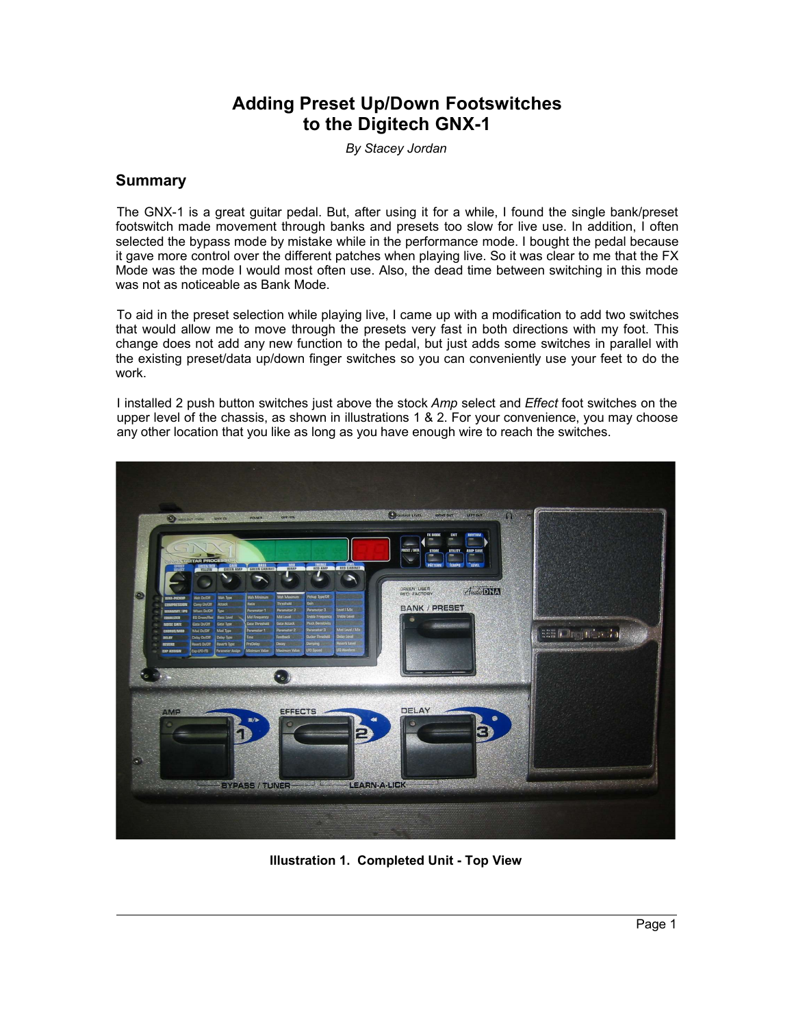# **Adding Preset Up/Down Footswitches to the Digitech GNX-1**

*By Stacey Jordan*

### **Summary**

The GNX-1 is a great guitar pedal. But, after using it for a while, I found the single bank/preset footswitch made movement through banks and presets too slow for live use. In addition, I often selected the bypass mode by mistake while in the performance mode. I bought the pedal because it gave more control over the different patches when playing live. So it was clear to me that the FX Mode was the mode I would most often use. Also, the dead time between switching in this mode was not as noticeable as Bank Mode.

To aid in the preset selection while playing live, I came up with a modification to add two switches that would allow me to move through the presets very fast in both directions with my foot. This change does not add any new function to the pedal, but just adds some switches in parallel with the existing preset/data up/down finger switches so you can conveniently use your feet to do the work.

I installed 2 push button switches just above the stock *Amp* select and *Effect* foot switches on the upper level of the chassis, as shown in illustrations 1 & 2. For your convenience, you may choose any other location that you like as long as you have enough wire to reach the switches.



**Illustration 1. Completed Unit - Top View**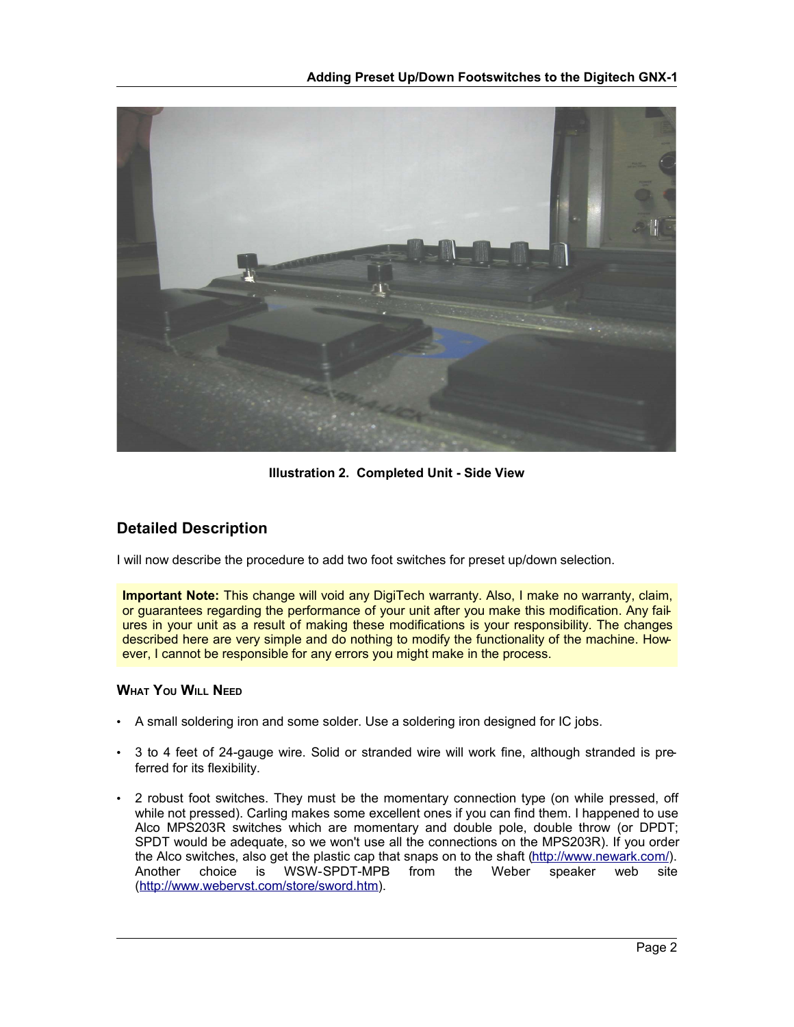

**Illustration 2. Completed Unit - Side View**

## **Detailed Description**

I will now describe the procedure to add two foot switches for preset up/down selection.

**Important Note:** This change will void any DigiTech warranty. Also, I make no warranty, claim, or guarantees regarding the performance of your unit after you make this modification. Any failures in your unit as a result of making these modifications is your responsibility. The changes described here are very simple and do nothing to modify the functionality of the machine. However, I cannot be responsible for any errors you might make in the process.

### **WHAT YOU WILL NEED**

- A small soldering iron and some solder. Use a soldering iron designed for IC jobs.
- 3 to 4 feet of 24-gauge wire. Solid or stranded wire will work fine, although stranded is preferred for its flexibility.
- 2 robust foot switches. They must be the momentary connection type (on while pressed, off while not pressed). Carling makes some excellent ones if you can find them. I happened to use Alco MPS203R switches which are momentary and double pole, double throw (or DPDT; SPDT would be adequate, so we won't use all the connections on the MPS203R). If you order the Alco switches, also get the plastic cap that snaps on to the shaft (http://www.newark.com/). Another choice is WSW-SPDT-MPB from the Weber speaker web site (http://www.webervst.com/store/sword.htm).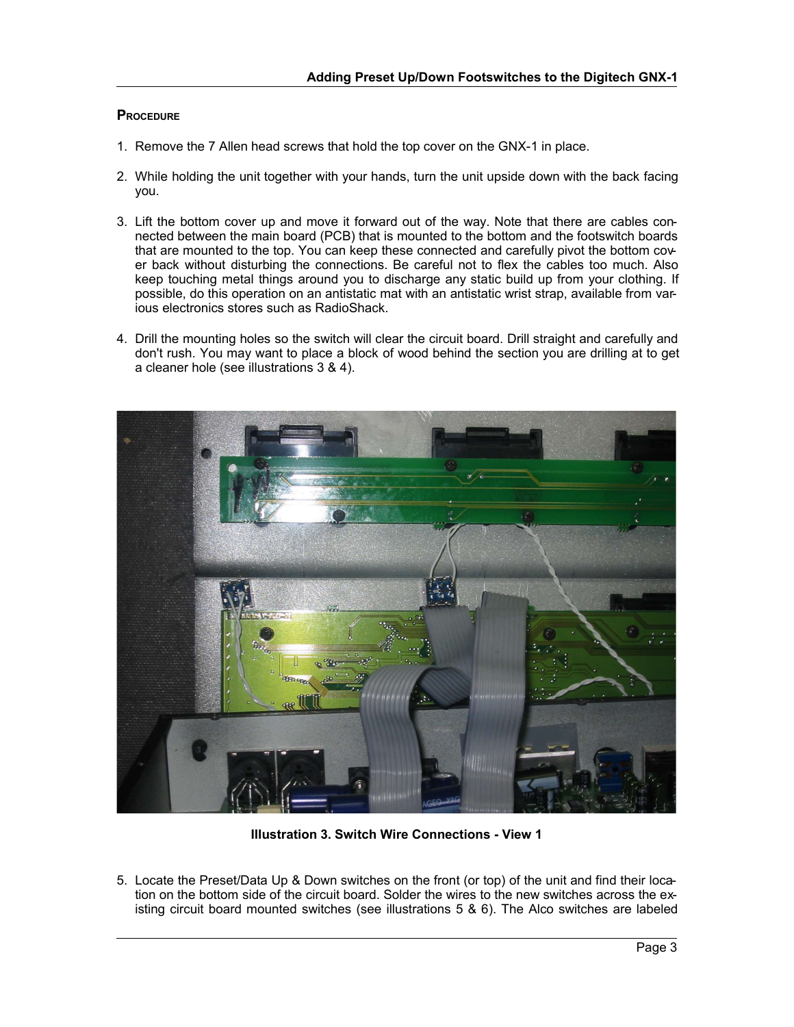#### **PROCEDURE**

- 1. Remove the 7 Allen head screws that hold the top cover on the GNX-1 in place.
- 2. While holding the unit together with your hands, turn the unit upside down with the back facing you.
- 3. Lift the bottom cover up and move it forward out of the way. Note that there are cables connected between the main board (PCB) that is mounted to the bottom and the footswitch boards that are mounted to the top. You can keep these connected and carefully pivot the bottom cover back without disturbing the connections. Be careful not to flex the cables too much. Also keep touching metal things around you to discharge any static build up from your clothing. If possible, do this operation on an antistatic mat with an antistatic wrist strap, available from various electronics stores such as RadioShack.
- 4. Drill the mounting holes so the switch will clear the circuit board. Drill straight and carefully and don't rush. You may want to place a block of wood behind the section you are drilling at to get a cleaner hole (see illustrations 3 & 4).



**Illustration 3. Switch Wire Connections - View 1**

5. Locate the Preset/Data Up & Down switches on the front (or top) of the unit and find their location on the bottom side of the circuit board. Solder the wires to the new switches across the existing circuit board mounted switches (see illustrations 5 & 6). The Alco switches are labeled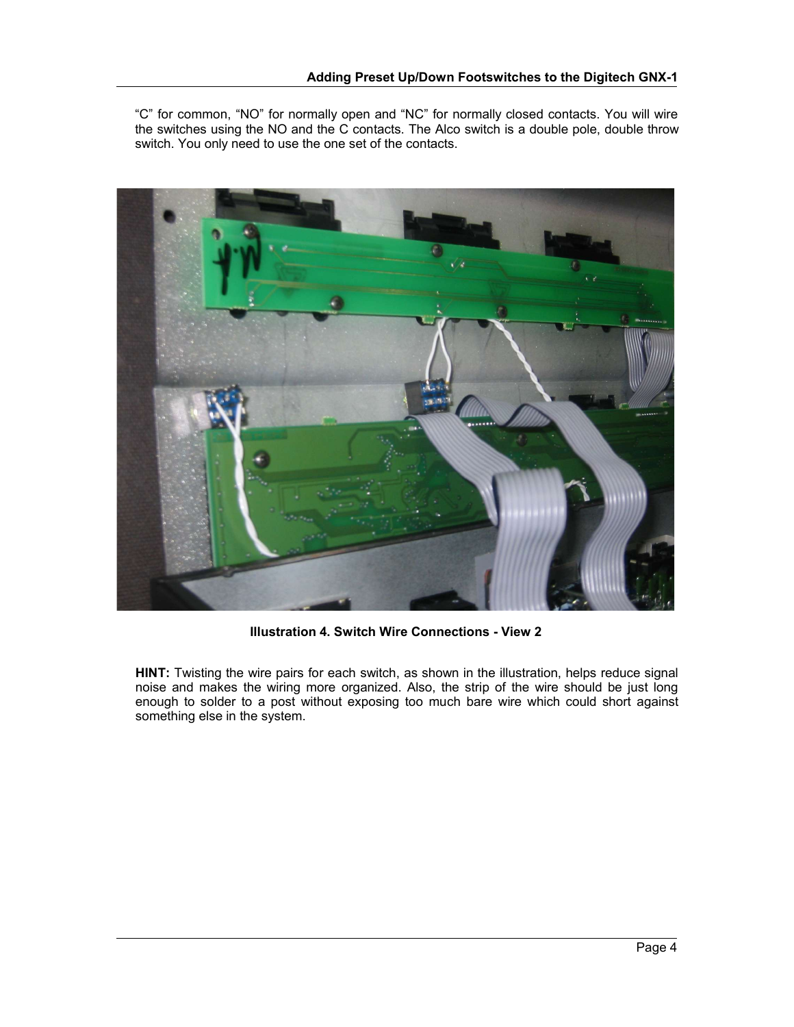"C" for common, "NO" for normally open and "NC" for normally closed contacts. You will wire the switches using the NO and the C contacts. The Alco switch is a double pole, double throw switch. You only need to use the one set of the contacts.



**Illustration 4. Switch Wire Connections - View 2**

**HINT:** Twisting the wire pairs for each switch, as shown in the illustration, helps reduce signal noise and makes the wiring more organized. Also, the strip of the wire should be just long enough to solder to a post without exposing too much bare wire which could short against something else in the system.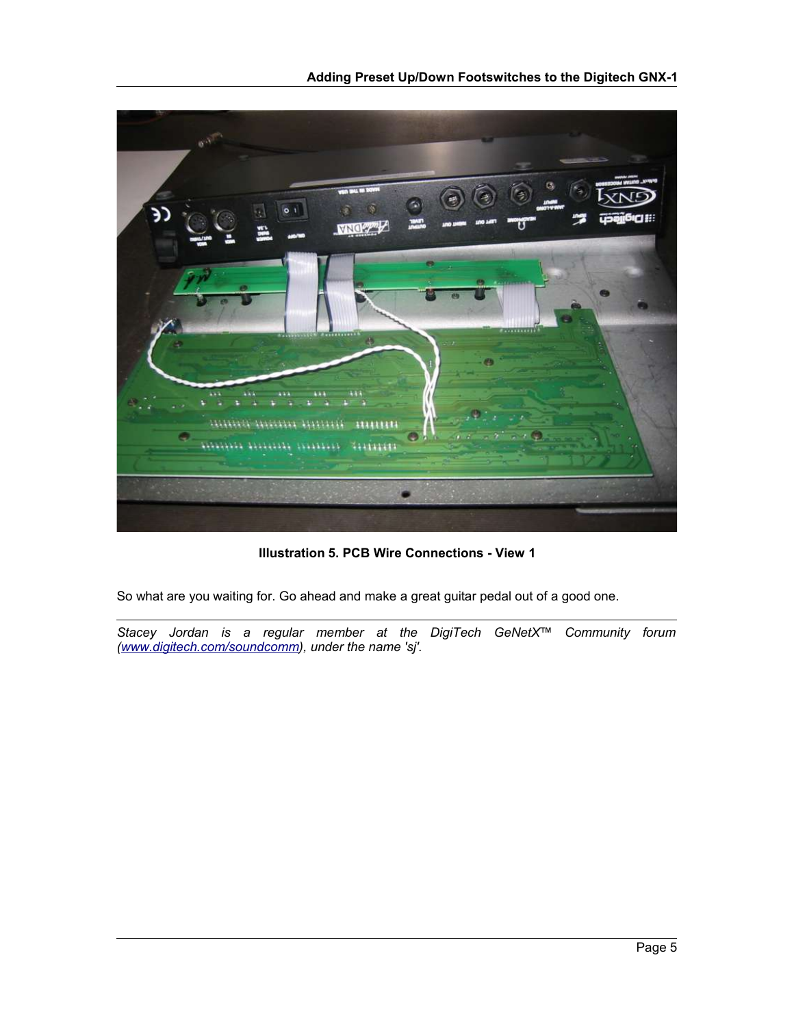

**Illustration 5. PCB Wire Connections - View 1**

So what are you waiting for. Go ahead and make a great guitar pedal out of a good one.

*Stacey Jordan is a regular member at the DigiTech GeNetX™ Community forum (www.digitech.com/soundcomm), under the name 'sj'.*